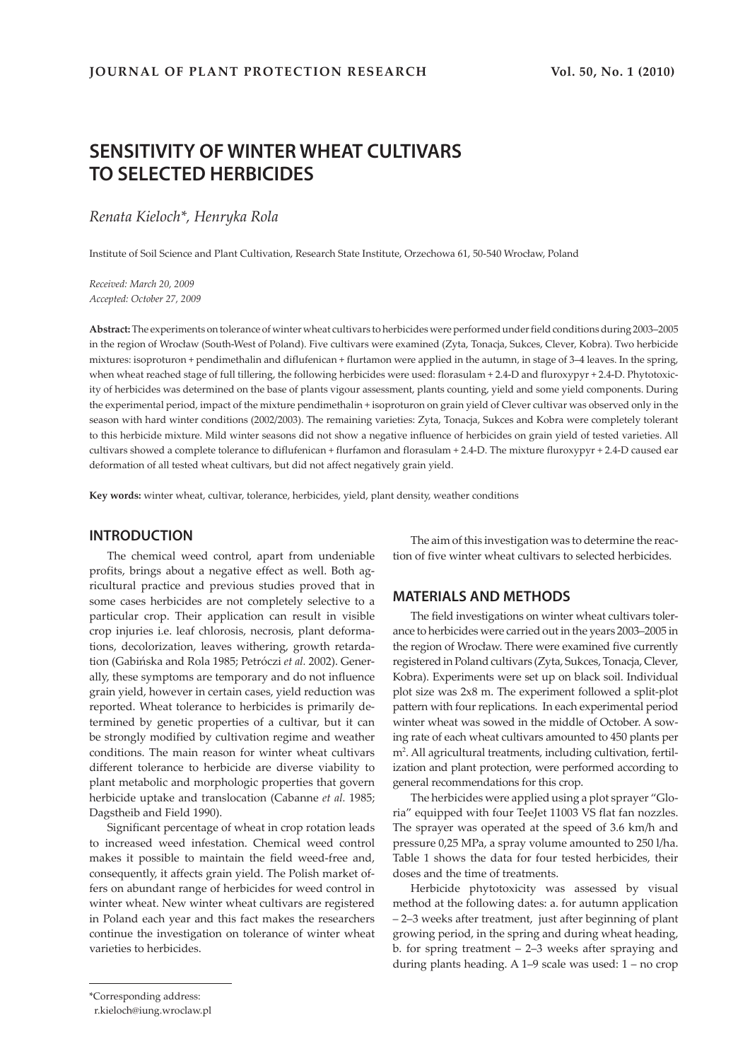# **SENSITIVITY OF WINTER WHEAT CULTIVARS TO SELECTED HERBICIDES**

*Renata Kieloch\*, Henryka Rola*

Institute of Soil Science and Plant Cultivation, Research State Institute, Orzechowa 61, 50-540 Wrocław, Poland

*Received: March 20, 2009 Accepted: October 27, 2009*

**Abstract:** The experiments on tolerance of winter wheat cultivars to herbicides were performed under field conditions during 2003–2005 in the region of Wrocław (South-West of Poland). Five cultivars were examined (Zyta, Tonacja, Sukces, Clever, Kobra). Two herbicide mixtures: isoproturon + pendimethalin and diflufenican + flurtamon were applied in the autumn, in stage of 3–4 leaves. In the spring, when wheat reached stage of full tillering, the following herbicides were used: florasulam + 2.4-D and fluroxypyr + 2.4-D. Phytotoxicity of herbicides was determined on the base of plants vigour assessment, plants counting, yield and some yield components. During the experimental period, impact of the mixture pendimethalin + isoproturon on grain yield of Clever cultivar was observed only in the season with hard winter conditions (2002/2003). The remaining varieties: Zyta, Tonacja, Sukces and Kobra were completely tolerant to this herbicide mixture. Mild winter seasons did not show a negative influence of herbicides on grain yield of tested varieties. All cultivars showed a complete tolerance to diflufenican + flurfamon and florasulam + 2.4-D. The mixture fluroxypyr + 2.4-D caused ear deformation of all tested wheat cultivars, but did not affect negatively grain yield.

**Key words:** winter wheat, cultivar, tolerance, herbicides, yield, plant density, weather conditions

#### **INTRODUCTION**

The chemical weed control, apart from undeniable profits, brings about a negative effect as well. Both agricultural practice and previous studies proved that in some cases herbicides are not completely selective to a particular crop. Their application can result in visible crop injuries i.e. leaf chlorosis, necrosis, plant deformations, decolorization, leaves withering, growth retardation (Gabińska and Rola 1985; Petróczi *et al.* 2002). Generally, these symptoms are temporary and do not influence grain yield, however in certain cases, yield reduction was reported. Wheat tolerance to herbicides is primarily determined by genetic properties of a cultivar, but it can be strongly modified by cultivation regime and weather conditions. The main reason for winter wheat cultivars different tolerance to herbicide are diverse viability to plant metabolic and morphologic properties that govern herbicide uptake and translocation (Cabanne *et al.* 1985; Dagstheib and Field 1990).

Significant percentage of wheat in crop rotation leads to increased weed infestation. Chemical weed control makes it possible to maintain the field weed-free and, consequently, it affects grain yield. The Polish market offers on abundant range of herbicides for weed control in winter wheat. New winter wheat cultivars are registered in Poland each year and this fact makes the researchers continue the investigation on tolerance of winter wheat varieties to herbicides.

The aim of this investigation was to determine the reaction of five winter wheat cultivars to selected herbicides.

#### **MATERIALS AND METHODS**

The field investigations on winter wheat cultivars tolerance to herbicides were carried out in the years 2003–2005 in the region of Wrocław. There were examined five currently registered in Poland cultivars (Zyta, Sukces, Tonacja, Clever, Kobra). Experiments were set up on black soil. Individual plot size was 2x8 m. The experiment followed a split-plot pattern with four replications. In each experimental period winter wheat was sowed in the middle of October. A sowing rate of each wheat cultivars amounted to 450 plants per m2 . All agricultural treatments, including cultivation, fertilization and plant protection, were performed according to general recommendations for this crop.

The herbicides were applied using a plot sprayer "Gloria" equipped with four TeeJet 11003 VS flat fan nozzles. The sprayer was operated at the speed of 3.6 km/h and pressure 0,25 MPa, a spray volume amounted to 250 l/ha. Table 1 shows the data for four tested herbicides, their doses and the time of treatments.

Herbicide phytotoxicity was assessed by visual method at the following dates: a. for autumn application – 2–3 weeks after treatment, just after beginning of plant growing period, in the spring and during wheat heading, b. for spring treatment – 2–3 weeks after spraying and during plants heading. A 1–9 scale was used: 1 – no crop

<sup>\*</sup>Corresponding address:

r.kieloch@iung.wroclaw.pl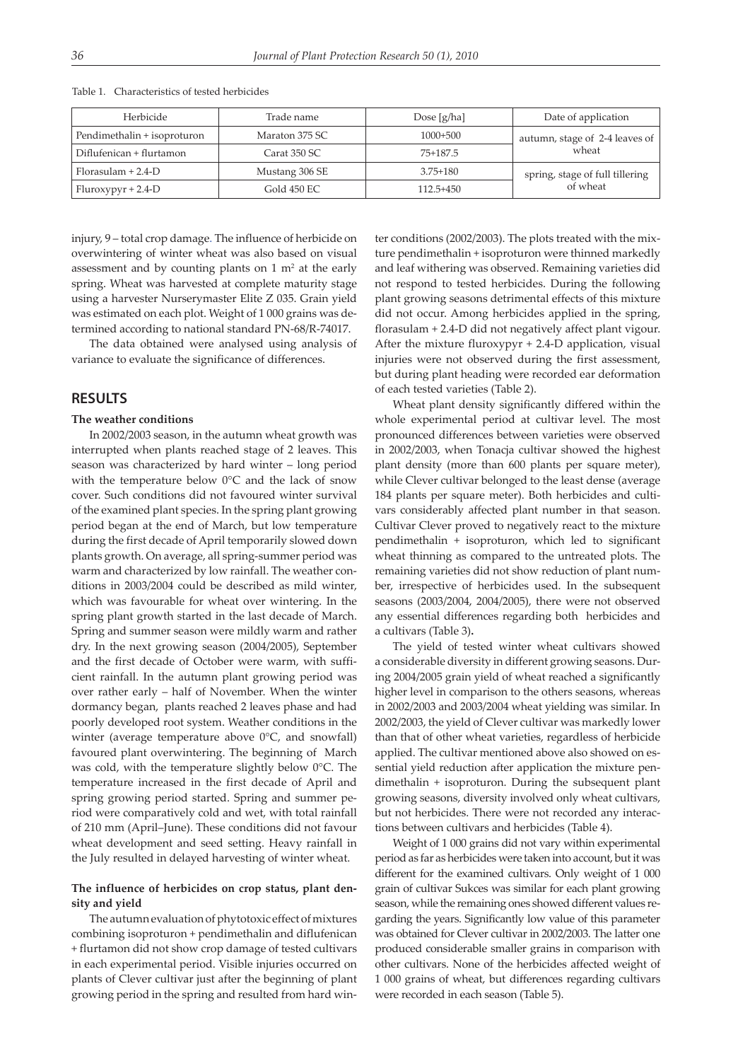| Herbicide                   | Trade name     | Dose $[g/ha]$ | Date of application             |  |
|-----------------------------|----------------|---------------|---------------------------------|--|
| Pendimethalin + isoproturon | Maraton 375 SC | $1000+500$    | autumn, stage of 2-4 leaves of  |  |
| Diflufenican + flurtamon    | Carat 350 SC.  | 75+187.5      | wheat                           |  |
| $Florasulam + 2.4-D$        | Mustang 306 SE | $3.75 + 180$  | spring, stage of full tillering |  |
| $Fluroxypyr + 2.4-D$        | Gold 450 EC    | $112.5 + 450$ | of wheat                        |  |

Table 1. Characteristics of tested herbicides

injury, 9 – total crop damage. The influence of herbicide on overwintering of winter wheat was also based on visual assessment and by counting plants on  $1 \text{ m}^2$  at the early spring. Wheat was harvested at complete maturity stage using a harvester Nurserymaster Elite Z 035. Grain yield was estimated on each plot. Weight of 1 000 grains was determined according to national standard PN-68/R-74017.

The data obtained were analysed using analysis of variance to evaluate the significance of differences.

#### **RESULTS**

#### **The weather conditions**

In 2002/2003 season, in the autumn wheat growth was interrupted when plants reached stage of 2 leaves. This season was characterized by hard winter – long period with the temperature below 0°C and the lack of snow cover. Such conditions did not favoured winter survival of the examined plant species. In the spring plant growing period began at the end of March, but low temperature during the first decade of April temporarily slowed down plants growth. On average, all spring-summer period was warm and characterized by low rainfall. The weather conditions in 2003/2004 could be described as mild winter, which was favourable for wheat over wintering. In the spring plant growth started in the last decade of March. Spring and summer season were mildly warm and rather dry. In the next growing season (2004/2005), September and the first decade of October were warm, with sufficient rainfall. In the autumn plant growing period was over rather early – half of November. When the winter dormancy began, plants reached 2 leaves phase and had poorly developed root system. Weather conditions in the winter (average temperature above 0°C, and snowfall) favoured plant overwintering. The beginning of March was cold, with the temperature slightly below 0°C. The temperature increased in the first decade of April and spring growing period started. Spring and summer period were comparatively cold and wet, with total rainfall of 210 mm (April–June). These conditions did not favour wheat development and seed setting. Heavy rainfall in the July resulted in delayed harvesting of winter wheat.

#### **The influence of herbicides on crop status, plant density and yield**

The autumn evaluation of phytotoxic effect of mixtures combining isoproturon + pendimethalin and diflufenican + flurtamon did not show crop damage of tested cultivars in each experimental period. Visible injuries occurred on plants of Clever cultivar just after the beginning of plant growing period in the spring and resulted from hard winter conditions (2002/2003). The plots treated with the mixture pendimethalin + isoproturon were thinned markedly and leaf withering was observed. Remaining varieties did not respond to tested herbicides. During the following plant growing seasons detrimental effects of this mixture did not occur. Among herbicides applied in the spring, florasulam + 2.4-D did not negatively affect plant vigour. After the mixture fluroxypyr + 2.4-D application, visual injuries were not observed during the first assessment, but during plant heading were recorded ear deformation of each tested varieties (Table 2).

Wheat plant density significantly differed within the whole experimental period at cultivar level. The most pronounced differences between varieties were observed in 2002/2003, when Tonacja cultivar showed the highest plant density (more than 600 plants per square meter), while Clever cultivar belonged to the least dense (average 184 plants per square meter). Both herbicides and cultivars considerably affected plant number in that season. Cultivar Clever proved to negatively react to the mixture pendimethalin + isoproturon, which led to significant wheat thinning as compared to the untreated plots. The remaining varieties did not show reduction of plant number, irrespective of herbicides used. In the subsequent seasons (2003/2004, 2004/2005), there were not observed any essential differences regarding both herbicides and a cultivars (Table 3)**.**

The yield of tested winter wheat cultivars showed a considerable diversity in different growing seasons. During 2004/2005 grain yield of wheat reached a significantly higher level in comparison to the others seasons, whereas in 2002/2003 and 2003/2004 wheat yielding was similar. In 2002/2003, the yield of Clever cultivar was markedly lower than that of other wheat varieties, regardless of herbicide applied. The cultivar mentioned above also showed on essential yield reduction after application the mixture pendimethalin + isoproturon. During the subsequent plant growing seasons, diversity involved only wheat cultivars, but not herbicides. There were not recorded any interactions between cultivars and herbicides (Table 4).

Weight of 1 000 grains did not vary within experimental period as far as herbicides were taken into account, but it was different for the examined cultivars. Only weight of 1 000 grain of cultivar Sukces was similar for each plant growing season, while the remaining ones showed different values regarding the years. Significantly low value of this parameter was obtained for Clever cultivar in 2002/2003. The latter one produced considerable smaller grains in comparison with other cultivars. None of the herbicides affected weight of 1 000 grains of wheat, but differences regarding cultivars were recorded in each season (Table 5).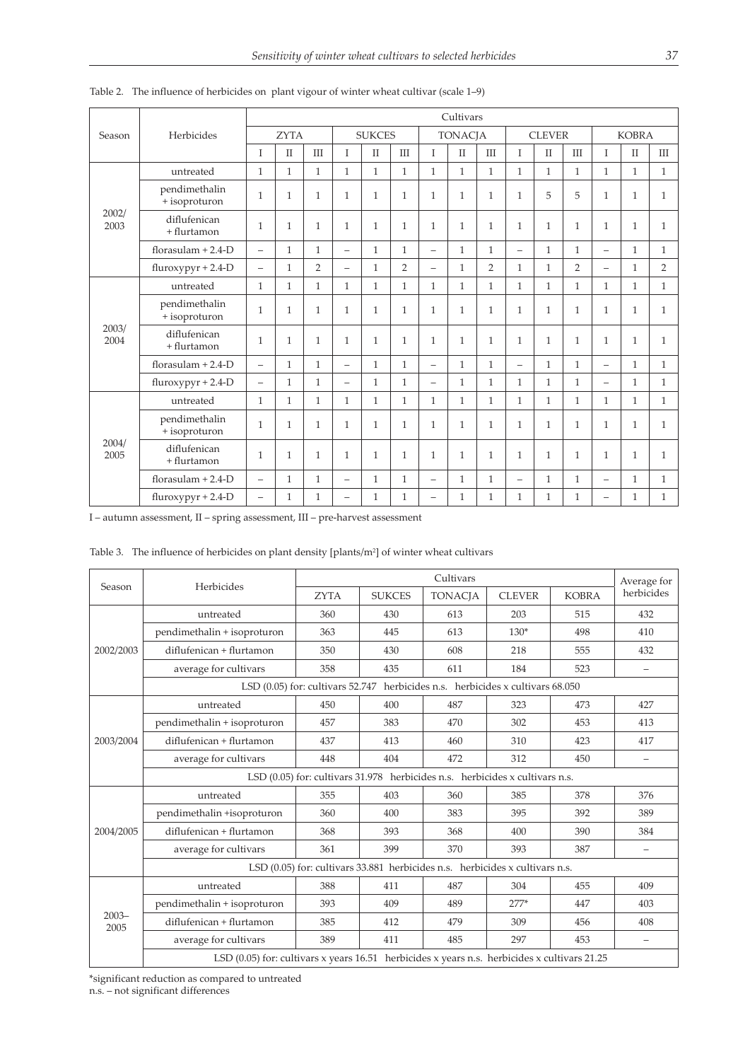|               |                                |                          |              |                |                          |                |                |                          | Cultivars    |                |                          |              |                |                          |              |                |
|---------------|--------------------------------|--------------------------|--------------|----------------|--------------------------|----------------|----------------|--------------------------|--------------|----------------|--------------------------|--------------|----------------|--------------------------|--------------|----------------|
| Season        | Herbicides                     | <b>ZYTA</b>              |              | <b>SUKCES</b>  |                          | <b>TONACJA</b> |                | <b>CLEVER</b>            |              | <b>KOBRA</b>   |                          |              |                |                          |              |                |
|               |                                | T                        | $\mathbf{I}$ | ΠI             | $\mathbf{I}$             | $\mathbf{I}$   | III            | T                        | $\mathbf{I}$ | III            | T                        | $\mathbf{I}$ | III            | T                        | $\mathbf{I}$ | III            |
| 2002/<br>2003 | untreated                      | $\mathbf{1}$             | $\mathbf{1}$ | $\mathbf{1}$   | $\mathbf{1}$             | $\mathbf{1}$   | $\mathbf{1}$   | $\mathbf{1}$             | $\mathbf{1}$ | $\mathbf{1}$   | $\mathbf{1}$             | $\mathbf{1}$ | $\mathbf{1}$   | $\mathbf{1}$             | $\mathbf{1}$ | $\mathbf{1}$   |
|               | pendimethalin<br>+ isoproturon | $\mathbf{1}$             | $\mathbf{1}$ | 1              | $\mathbf{1}$             | $\mathbf{1}$   | $\mathbf{1}$   | $\mathbf{1}$             | $\mathbf{1}$ | $\mathbf{1}$   | 1                        | 5            | 5              | $\mathbf{1}$             | $\mathbf{1}$ | $\mathbf{1}$   |
|               | diflufenican<br>+ flurtamon    | $\mathbf{1}$             | $\mathbf{1}$ | $\mathbf{1}$   | $\mathbf{1}$             | $\mathbf{1}$   | $\mathbf{1}$   | $\mathbf{1}$             | $\mathbf{1}$ | $\mathbf{1}$   | 1                        | $\mathbf{1}$ | $\mathbf{1}$   | $\mathbf{1}$             | $\mathbf{1}$ | $\mathbf{1}$   |
|               | florasulam $+ 2.4 - D$         | $\overline{\phantom{0}}$ | $\mathbf{1}$ | $\mathbf{1}$   | $\overline{\phantom{m}}$ | $\mathbf{1}$   | $\mathbf{1}$   | $\overline{\phantom{m}}$ | $\mathbf{1}$ | $\mathbf{1}$   | $\overline{\phantom{0}}$ | $\mathbf{1}$ | $\mathbf{1}$   | $\overline{\phantom{0}}$ | $\mathbf{1}$ | $\mathbf{1}$   |
|               | $fluroxypyr + 2.4-D$           | $\overline{\phantom{0}}$ | $\mathbf{1}$ | $\overline{2}$ | $\overline{\phantom{m}}$ | $\mathbf{1}$   | $\overline{2}$ | $\qquad \qquad -$        | $\mathbf{1}$ | $\overline{2}$ | $\mathbf{1}$             | $\mathbf{1}$ | $\overline{2}$ | $\overline{\phantom{0}}$ | $\mathbf{1}$ | $\overline{2}$ |
|               | untreated                      | $\mathbf{1}$             | $\mathbf{1}$ | $\mathbf{1}$   | $\mathbf{1}$             | $\mathbf{1}$   | $\mathbf{1}$   | $\mathbf{1}$             | $\mathbf{1}$ | $\mathbf{1}$   | $\mathbf{1}$             | $\mathbf{1}$ | $\mathbf{1}$   | $\mathbf{1}$             | $\mathbf{1}$ | $\mathbf{1}$   |
|               | pendimethalin<br>+ isoproturon | $\mathbf{1}$             | $\mathbf{1}$ | $\mathbf{1}$   | $\mathbf{1}$             | $\mathbf{1}$   | $\mathbf{1}$   | $\mathbf{1}$             | $\mathbf{1}$ | $\mathbf{1}$   | $\mathbf{1}$             | $\mathbf{1}$ | $\mathbf{1}$   | $\mathbf{1}$             | $\mathbf{1}$ | $\mathbf{1}$   |
| 2003/<br>2004 | diflufenican<br>+ flurtamon    | $\mathbf{1}$             | $\mathbf{1}$ | $\mathbf{1}$   | $\mathbf{1}$             | $\mathbf{1}$   | $\mathbf{1}$   | $\mathbf{1}$             | $\mathbf{1}$ | $\mathbf{1}$   | $\mathbf{1}$             | $\mathbf{1}$ | $\mathbf{1}$   | $\mathbf{1}$             | $\mathbf{1}$ | $\mathbf{1}$   |
|               | florasulam $+ 2.4 - D$         |                          | $\mathbf{1}$ | $\mathbf{1}$   |                          | $\mathbf{1}$   | $\mathbf{1}$   |                          | $\mathbf{1}$ | $\mathbf{1}$   | $\overline{\phantom{0}}$ | $\mathbf{1}$ | $\mathbf{1}$   | $\equiv$                 | $\mathbf{1}$ | $\mathbf{1}$   |
|               | $fluroxypyr + 2.4-D$           | $\equiv$                 | $\mathbf{1}$ | $\mathbf{1}$   | $\overline{\phantom{0}}$ | $\mathbf{1}$   | $\mathbf{1}$   | $\equiv$                 | $\mathbf{1}$ | $\mathbf{1}$   | $\mathbf{1}$             | $\mathbf{1}$ | $\mathbf{1}$   | $\equiv$                 | $\mathbf{1}$ | $\mathbf{1}$   |
|               | untreated                      | $\mathbf{1}$             | $\mathbf{1}$ | $\mathbf{1}$   | $\mathbf{1}$             | $\mathbf{1}$   | $\mathbf{1}$   | $\mathbf{1}$             | $\mathbf{1}$ | $\mathbf{1}$   | $\mathbf{1}$             | $\mathbf{1}$ | $\mathbf{1}$   | $\mathbf{1}$             | $\mathbf{1}$ | $\mathbf{1}$   |
| 2004/<br>2005 | pendimethalin<br>+ isoproturon | $\mathbf{1}$             | $\mathbf{1}$ | 1              | $\mathbf{1}$             | $\mathbf{1}$   | $\mathbf{1}$   | $\mathbf{1}$             | $\mathbf{1}$ | $\mathbf{1}$   | 1                        | $\mathbf{1}$ | $\mathbf{1}$   | $\mathbf{1}$             | $\mathbf{1}$ | $\mathbf{1}$   |
|               | diflufenican<br>+ flurtamon    | $\mathbf{1}$             | $\mathbf{1}$ | $\mathbf{1}$   | $\mathbf{1}$             | $\mathbf{1}$   | $\mathbf{1}$   | $\mathbf{1}$             | $\mathbf{1}$ | $\mathbf{1}$   | $\mathbf{1}$             | $\mathbf{1}$ | $\mathbf{1}$   | $\mathbf{1}$             | $\mathbf{1}$ | $\mathbf{1}$   |
|               | florasulam $+ 2.4 - D$         | $\equiv$                 | $\mathbf{1}$ | $\mathbf{1}$   | $\equiv$                 | $\mathbf{1}$   | $\mathbf{1}$   |                          | $\mathbf{1}$ | $\mathbf{1}$   | $\equiv$                 | $\mathbf{1}$ | $\mathbf{1}$   | $\overline{\phantom{0}}$ | $\mathbf{1}$ | $\mathbf{1}$   |
|               | $fluroxypyr + 2.4-D$           | $\overline{\phantom{0}}$ | 1            | 1              | $\overline{\phantom{0}}$ | $\mathbf{1}$   | $\mathbf{1}$   | $\overline{\phantom{0}}$ | $\mathbf{1}$ | $\mathbf{1}$   | $\mathbf{1}$             | $\mathbf{1}$ | $\mathbf{1}$   | $\equiv$                 | $\mathbf{1}$ | $\mathbf{1}$   |

Table 2. The influence of herbicides on plant vigour of winter wheat cultivar (scale 1–9)

I – autumn assessment, II – spring assessment, III – pre-harvest assessment

|  | Table 3. The influence of herbicides on plant density [plants/ $m2$ ] of winter wheat cultivars |  |  |  |
|--|-------------------------------------------------------------------------------------------------|--|--|--|
|  |                                                                                                 |  |  |  |

|                  |                                                                                              |                                                                              | Average for   |                |               |              |                   |  |  |  |  |
|------------------|----------------------------------------------------------------------------------------------|------------------------------------------------------------------------------|---------------|----------------|---------------|--------------|-------------------|--|--|--|--|
| Season           | Herbicides                                                                                   | <b>ZYTA</b>                                                                  | <b>SUKCES</b> | <b>TONACJA</b> | <b>CLEVER</b> | <b>KOBRA</b> | herbicides        |  |  |  |  |
|                  | untreated                                                                                    | 360                                                                          | 430           | 613            | 203           | 515          | 432               |  |  |  |  |
|                  | pendimethalin + isoproturon                                                                  | 363                                                                          | 445           | 613            | $130*$        | 498          | 410               |  |  |  |  |
| 2002/2003        | diflufenican + flurtamon                                                                     | 350                                                                          | 430           | 608            | 218           | 555          | 432               |  |  |  |  |
|                  | average for cultivars                                                                        | 358                                                                          | 435           | 611            | 184           | 523          | $\qquad \qquad -$ |  |  |  |  |
|                  | LSD (0.05) for: cultivars 52.747 herbicides n.s. herbicides x cultivars 68.050               |                                                                              |               |                |               |              |                   |  |  |  |  |
|                  | untreated                                                                                    | 450                                                                          | 400           | 487            | 323           | 473          | 427               |  |  |  |  |
|                  | pendimethalin + isoproturon                                                                  | 457                                                                          | 383           | 470            | 302           | 453          | 413               |  |  |  |  |
| 2003/2004        | diflufenican + flurtamon                                                                     | 437                                                                          | 413           | 460            | 310           | 423          | 417               |  |  |  |  |
|                  | average for cultivars                                                                        | 448                                                                          | 404           | 472            | 312           | 450          | $\equiv$          |  |  |  |  |
|                  | LSD (0.05) for: cultivars 31.978 herbicides n.s. herbicides x cultivars n.s.                 |                                                                              |               |                |               |              |                   |  |  |  |  |
|                  | untreated                                                                                    | 355                                                                          | 403           | 360            | 385           | 378          | 376               |  |  |  |  |
|                  | pendimethalin +isoproturon                                                                   | 360                                                                          | 400           | 383            | 395           | 392          | 389               |  |  |  |  |
| 2004/2005        | diflufenican + flurtamon                                                                     | 368                                                                          | 393           | 368            | 400           | 390          | 384               |  |  |  |  |
|                  | average for cultivars                                                                        | 361                                                                          | 399           | 370            | 393           | 387          | $\equiv$          |  |  |  |  |
|                  |                                                                                              | LSD (0.05) for: cultivars 33.881 herbicides n.s. herbicides x cultivars n.s. |               |                |               |              |                   |  |  |  |  |
|                  | untreated                                                                                    | 388                                                                          | 411           | 487            | 304           | 455          | 409               |  |  |  |  |
|                  | pendimethalin + isoproturon                                                                  | 393                                                                          | 409           | 489            | $277*$        | 447          | 403               |  |  |  |  |
| $2003 -$<br>2005 | diflufenican + flurtamon                                                                     | 385                                                                          | 412           | 479            | 309           | 456          | 408               |  |  |  |  |
|                  | average for cultivars                                                                        | 389                                                                          | 411           | 485            | 297           | 453          | $\qquad \qquad -$ |  |  |  |  |
|                  | LSD (0.05) for: cultivars x years 16.51 herbicides x years n.s. herbicides x cultivars 21.25 |                                                                              |               |                |               |              |                   |  |  |  |  |

\*significant reduction as compared to untreated n.s. – not significant differences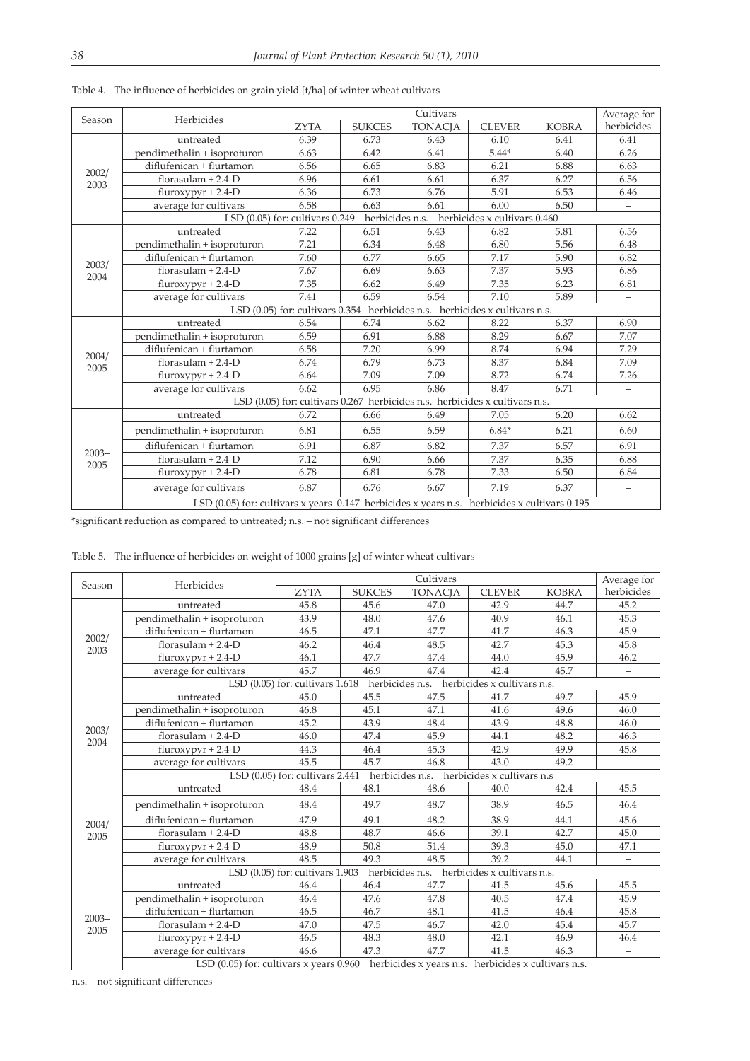|                  |                                                                                                    |                                                                             | Cultivars       |                |                              |              |                           |  |  |  |
|------------------|----------------------------------------------------------------------------------------------------|-----------------------------------------------------------------------------|-----------------|----------------|------------------------------|--------------|---------------------------|--|--|--|
| Season           | Herbicides                                                                                         | <b>ZYTA</b>                                                                 | <b>SUKCES</b>   | <b>TONACJA</b> | <b>CLEVER</b>                | <b>KOBRA</b> | Average for<br>herbicides |  |  |  |
|                  | untreated                                                                                          | 6.39                                                                        | 6.73            | 6.43           | 6.10                         | 6.41         | 6.41                      |  |  |  |
|                  | pendimethalin + isoproturon                                                                        | 6.63                                                                        | 6.42            | 6.41           | $5.44*$                      | 6.40         | 6.26                      |  |  |  |
|                  | diflufenican + flurtamon                                                                           | 6.56                                                                        | 6.65            | 6.83           | 6.21                         | 6.88         | 6.63                      |  |  |  |
| 2002/<br>2003    | florasulam $+ 2.4 - D$                                                                             | 6.96                                                                        | 6.61            | 6.61           | 6.37                         | 6.27         | 6.56                      |  |  |  |
|                  | $fluroxypyr + 2.4-D$                                                                               | 6.36                                                                        | 6.73            | 6.76           | 5.91                         | 6.53         | 6.46                      |  |  |  |
|                  | average for cultivars                                                                              | 6.58                                                                        | 6.63            | 6.61           | 6.00                         | 6.50         |                           |  |  |  |
|                  |                                                                                                    | LSD $(0.05)$ for: cultivars $0.249$                                         | herbicides n.s. |                | herbicides x cultivars 0.460 |              |                           |  |  |  |
|                  | untreated                                                                                          | 7.22                                                                        | 6.51            | 6.43           | 6.82                         | 5.81         | 6.56                      |  |  |  |
|                  | pendimethalin + isoproturon                                                                        | 7.21                                                                        | 6.34            | 6.48           | 6.80                         | 5.56         | 6.48                      |  |  |  |
|                  | diflufenican + flurtamon                                                                           | 7.60                                                                        | 6.77            | 6.65           | 7.17                         | 5.90         | 6.82                      |  |  |  |
| 2003/<br>2004    | florasulam $+ 2.4 - D$                                                                             | 7.67                                                                        | 6.69            | 6.63           | 7.37                         | 5.93         | 6.86                      |  |  |  |
|                  | $fluroxypyr + 2.4-D$                                                                               | 7.35                                                                        | 6.62            | 6.49           | 7.35                         | 6.23         | 6.81                      |  |  |  |
|                  | average for cultivars                                                                              | 7.41                                                                        | 6.59            | 6.54           | 7.10                         | 5.89         | $\equiv$                  |  |  |  |
|                  | LSD (0.05) for: cultivars 0.354 herbicides n.s. herbicides x cultivars n.s.                        |                                                                             |                 |                |                              |              |                           |  |  |  |
|                  | untreated                                                                                          | 6.54                                                                        | 6.74            | 6.62           | 8.22                         | 6.37         | 6.90                      |  |  |  |
|                  | pendimethalin + isoproturon                                                                        | 6.59                                                                        | 6.91            | 6.88           | 8.29                         | 6.67         | 7.07                      |  |  |  |
| 2004/            | diflufenican + flurtamon                                                                           | 6.58                                                                        | 7.20            | 6.99           | 8.74                         | 6.94         | 7.29                      |  |  |  |
| 2005             | florasulam $+ 2.4 - D$                                                                             | 6.74                                                                        | 6.79            | 6.73           | 8.37                         | 6.84         | 7.09                      |  |  |  |
|                  | $fluroxypyr + 2.4-D$                                                                               | 6.64                                                                        | 7.09            | 7.09           | 8.72                         | 6.74         | 7.26                      |  |  |  |
|                  | average for cultivars                                                                              | 6.62                                                                        | 6.95            | 6.86           | 8.47                         | 6.71         | $\equiv$                  |  |  |  |
|                  |                                                                                                    | LSD (0.05) for: cultivars 0.267 herbicides n.s. herbicides x cultivars n.s. |                 |                |                              |              |                           |  |  |  |
|                  | untreated                                                                                          | 6.72                                                                        | 6.66            | 6.49           | 7.05                         | 6.20         | 6.62                      |  |  |  |
|                  | pendimethalin + isoproturon                                                                        | 6.81                                                                        | 6.55            | 6.59           | $6.84*$                      | 6.21         | 6.60                      |  |  |  |
|                  | diflufenican + flurtamon                                                                           | 6.91                                                                        | 6.87            | 6.82           | 7.37                         | 6.57         | 6.91                      |  |  |  |
| $2003 -$<br>2005 | florasulam $+ 2.4 - D$                                                                             | 7.12                                                                        | 6.90            | 6.66           | 7.37                         | 6.35         | 6.88                      |  |  |  |
|                  | $fluroxypyr + 2.4-D$                                                                               | 6.78                                                                        | 6.81            | 6.78           | 7.33                         | 6.50         | 6.84                      |  |  |  |
|                  | average for cultivars                                                                              | 6.87                                                                        | 6.76            | 6.67           | 7.19                         | 6.37         |                           |  |  |  |
|                  | LSD $(0.05)$ for: cultivars x years $0.147$ herbicides x years n.s. herbicides x cultivars $0.195$ |                                                                             |                 |                |                              |              |                           |  |  |  |

Table 4. The influence of herbicides on grain yield [t/ha] of winter wheat cultivars

\*significant reduction as compared to untreated; n.s. – not significant differences

Table 5. The influence of herbicides on weight of 1000 grains [g] of winter wheat cultivars

|                  |                                                                                     |                                                                                             | Average for   |                                             |               |              |            |  |  |  |  |
|------------------|-------------------------------------------------------------------------------------|---------------------------------------------------------------------------------------------|---------------|---------------------------------------------|---------------|--------------|------------|--|--|--|--|
| Season           | Herbicides                                                                          | <b>ZYTA</b>                                                                                 | <b>SUKCES</b> | <b>TONACJA</b>                              | <b>CLEVER</b> | <b>KOBRA</b> | herbicides |  |  |  |  |
|                  | untreated                                                                           | 45.8                                                                                        | 45.6          | 47.0                                        | 42.9          | 44.7         | 45.2       |  |  |  |  |
|                  | pendimethalin + isoproturon                                                         | 43.9                                                                                        | 48.0          | 47.6                                        | 40.9          | 46.1         | 45.3       |  |  |  |  |
|                  | diflufenican + flurtamon                                                            | 46.5                                                                                        | 47.1          | 47.7                                        | 41.7          | 46.3         | 45.9       |  |  |  |  |
| 2002/<br>2003    | florasulam $+ 2.4 - D$                                                              | 46.2                                                                                        | 46.4          | 48.5                                        | 42.7          | 45.3         | 45.8       |  |  |  |  |
|                  | $fluroxvpyr + 2.4-D$                                                                | 46.1                                                                                        | 47.7          | 47.4                                        | 44.0          | 45.9         | 46.2       |  |  |  |  |
|                  | average for cultivars                                                               | 45.7                                                                                        | 46.9          | 47.4                                        | 42.4          | 45.7         | -          |  |  |  |  |
|                  |                                                                                     | LSD $(0.05)$ for: cultivars $1.618$                                                         |               | herbicides n.s. herbicides x cultivars n.s. |               |              |            |  |  |  |  |
|                  | untreated                                                                           | 45.0                                                                                        | 45.5          | 47.5                                        | 41.7          | 49.7         | 45.9       |  |  |  |  |
|                  | pendimethalin + isoproturon                                                         | 46.8                                                                                        | 45.1          | 47.1                                        | 41.6          | 49.6         | 46.0       |  |  |  |  |
| 2003/            | diflufenican + flurtamon                                                            | 45.2                                                                                        | 43.9          | 48.4                                        | 43.9          | 48.8         | 46.0       |  |  |  |  |
| 2004             | florasulam $+ 2.4 - D$                                                              | 46.0                                                                                        | 47.4          | 45.9                                        | 44.1          | 48.2         | 46.3       |  |  |  |  |
|                  | $fluroxvpyr + 2.4-D$                                                                | 44.3                                                                                        | 46.4          | 45.3                                        | 42.9          | 49.9         | 45.8       |  |  |  |  |
|                  | average for cultivars                                                               | 45.5                                                                                        | 45.7          | 46.8                                        | 43.0          | 49.2         |            |  |  |  |  |
|                  | herbicides n.s.<br>herbicides x cultivars n.s.<br>LSD $(0.05)$ for: cultivars 2.441 |                                                                                             |               |                                             |               |              |            |  |  |  |  |
|                  | untreated                                                                           | 48.4                                                                                        | 48.1          | 48.6                                        | 40.0          | 42.4         | 45.5       |  |  |  |  |
|                  | pendimethalin + isoproturon                                                         | 48.4                                                                                        | 49.7          | 48.7                                        | 38.9          | 46.5         | 46.4       |  |  |  |  |
| 2004/            | diflufenican + flurtamon                                                            | 47.9                                                                                        | 49.1          | 48.2                                        | 38.9          | 44.1         | 45.6       |  |  |  |  |
| 2005             | florasulam $+ 2.4 - D$                                                              | 48.8                                                                                        | 48.7          | 46.6                                        | 39.1          | 42.7         | 45.0       |  |  |  |  |
|                  | $fluroxypyr + 2.4-D$                                                                | 48.9                                                                                        | 50.8          | 51.4                                        | 39.3          | 45.0         | 47.1       |  |  |  |  |
|                  | average for cultivars                                                               | 48.5                                                                                        | 49.3          | 48.5                                        | 39.2          | 44.1         |            |  |  |  |  |
|                  |                                                                                     | herbicides n.s. herbicides x cultivars n.s.<br>LSD (0.05) for: cultivars 1.903              |               |                                             |               |              |            |  |  |  |  |
|                  | untreated                                                                           | 46.4                                                                                        | 46.4          | 47.7                                        | 41.5          | 45.6         | 45.5       |  |  |  |  |
|                  | pendimethalin + isoproturon                                                         | 46.4                                                                                        | 47.6          | 47.8                                        | 40.5          | 47.4         | 45.9       |  |  |  |  |
|                  | diflufenican + flurtamon                                                            | 46.5                                                                                        | 46.7          | 48.1                                        | 41.5          | 46.4         | 45.8       |  |  |  |  |
| $2003 -$<br>2005 | florasulam $+ 2.4 - D$                                                              | 47.0                                                                                        | 47.5          | 46.7                                        | 42.0          | 45.4         | 45.7       |  |  |  |  |
|                  | $fluroxypyr + 2.4-D$                                                                | 46.5                                                                                        | 48.3          | 48.0                                        | 42.1          | 46.9         | 46.4       |  |  |  |  |
|                  | average for cultivars                                                               | 46.6                                                                                        | 47.3          | 47.7                                        | 41.5          | 46.3         | $\equiv$   |  |  |  |  |
|                  |                                                                                     | LSD (0.05) for: cultivars x years 0.960 herbicides x years n.s. herbicides x cultivars n.s. |               |                                             |               |              |            |  |  |  |  |

n.s. – not significant differences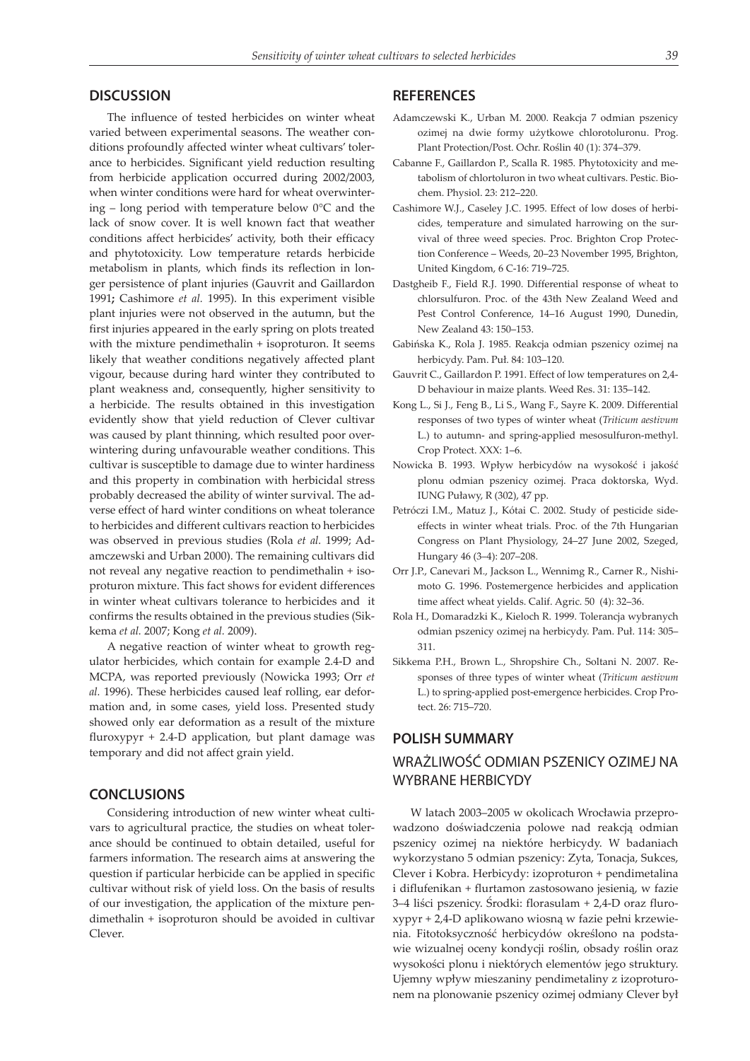## **DISCUSSION**

The influence of tested herbicides on winter wheat varied between experimental seasons. The weather conditions profoundly affected winter wheat cultivars' tolerance to herbicides. Significant yield reduction resulting from herbicide application occurred during 2002/2003, when winter conditions were hard for wheat overwintering – long period with temperature below 0°C and the lack of snow cover. It is well known fact that weather conditions affect herbicides' activity, both their efficacy and phytotoxicity. Low temperature retards herbicide metabolism in plants, which finds its reflection in longer persistence of plant injuries (Gauvrit and Gaillardon 1991**;** Cashimore *et al.* 1995). In this experiment visible plant injuries were not observed in the autumn, but the first injuries appeared in the early spring on plots treated with the mixture pendimethalin + isoproturon. It seems likely that weather conditions negatively affected plant vigour, because during hard winter they contributed to plant weakness and, consequently, higher sensitivity to a herbicide. The results obtained in this investigation evidently show that yield reduction of Clever cultivar was caused by plant thinning, which resulted poor overwintering during unfavourable weather conditions. This cultivar is susceptible to damage due to winter hardiness and this property in combination with herbicidal stress probably decreased the ability of winter survival. The adverse effect of hard winter conditions on wheat tolerance to herbicides and different cultivars reaction to herbicides was observed in previous studies (Rola *et al.* 1999; Adamczewski and Urban 2000). The remaining cultivars did not reveal any negative reaction to pendimethalin + isoproturon mixture. This fact shows for evident differences in winter wheat cultivars tolerance to herbicides and it confirms the results obtained in the previous studies (Sikkema *et al.* 2007; Kong *et al.* 2009).

A negative reaction of winter wheat to growth regulator herbicides, which contain for example 2.4-D and MCPA, was reported previously (Nowicka 1993; Orr *et al.* 1996). These herbicides caused leaf rolling, ear deformation and, in some cases, yield loss. Presented study showed only ear deformation as a result of the mixture fluroxypyr + 2.4-D application, but plant damage was temporary and did not affect grain yield.

#### **CONCLUSIONS**

Considering introduction of new winter wheat cultivars to agricultural practice, the studies on wheat tolerance should be continued to obtain detailed, useful for farmers information. The research aims at answering the question if particular herbicide can be applied in specific cultivar without risk of yield loss. On the basis of results of our investigation, the application of the mixture pendimethalin + isoproturon should be avoided in cultivar Clever.

## **REFERENCES**

- Adamczewski K., Urban M. 2000. Reakcja 7 odmian pszenicy ozimej na dwie formy użytkowe chlorotoluronu. Prog. Plant Protection/Post. Ochr. Roślin 40 (1): 374–379.
- Cabanne F., Gaillardon P., Scalla R. 1985. Phytotoxicity and metabolism of chlortoluron in two wheat cultivars. Pestic. Biochem. Physiol. 23: 212–220.
- Cashimore W.J., Caseley J.C. 1995. Effect of low doses of herbicides, temperature and simulated harrowing on the survival of three weed species. Proc. Brighton Crop Protection Conference – Weeds, 20–23 November 1995, Brighton, United Kingdom, 6 C-16: 719–725.
- Dastgheib F., Field R.J. 1990. Differential response of wheat to chlorsulfuron. Proc. of the 43th New Zealand Weed and Pest Control Conference, 14–16 August 1990, Dunedin, New Zealand 43: 150–153.
- Gabińska K., Rola J. 1985. Reakcja odmian pszenicy ozimej na herbicydy. Pam. Puł. 84: 103–120.
- Gauvrit C., Gaillardon P. 1991. Effect of low temperatures on 2,4- D behaviour in maize plants. Weed Res. 31: 135–142.
- Kong L., Si J., Feng B., Li S., Wang F., Sayre K. 2009. Differential responses of two types of winter wheat (*Triticum aestivum* L.) to autumn- and spring-applied mesosulfuron-methyl. Crop Protect. XXX: 1–6.
- Nowicka B. 1993. Wpływ herbicydów na wysokość i jakość plonu odmian pszenicy ozimej. Praca doktorska, Wyd. IUNG Puławy, R (302), 47 pp.
- Petróczi I.M., Matuz J., Kótai C. 2002. Study of pesticide sideeffects in winter wheat trials. Proc. of the 7th Hungarian Congress on Plant Physiology, 24–27 June 2002, Szeged, Hungary 46 (3–4): 207–208.
- Orr J.P., Canevari M., Jackson L., Wennimg R., Carner R., Nishimoto G. 1996. Postemergence herbicides and application time affect wheat yields. Calif. Agric. 50 (4): 32–36.
- Rola H., Domaradzki K., Kieloch R. 1999. Tolerancja wybranych odmian pszenicy ozimej na herbicydy. Pam. Puł. 114: 305– 311.
- Sikkema P.H., Brown L., Shropshire Ch., Soltani N. 2007. Responses of three types of winter wheat (*Triticum aestivum* L.) to spring-applied post-emergence herbicides. Crop Protect. 26: 715–720.

### **POLISH SUMMARY**

## WRAŻLIWOŚĆ ODMIAN PSZENICY OZIMEJ NA WYBRANE HERBICYDY

W latach 2003–2005 w okolicach Wrocławia przeprowadzono doświadczenia polowe nad reakcją odmian pszenicy ozimej na niektóre herbicydy. W badaniach wykorzystano 5 odmian pszenicy: Zyta, Tonacja, Sukces, Clever i Kobra. Herbicydy: izoproturon + pendimetalina i diflufenikan + flurtamon zastosowano jesienią, w fazie 3–4 liści pszenicy. Środki: florasulam + 2,4-D oraz fluroxypyr + 2,4-D aplikowano wiosną w fazie pełni krzewienia. Fitotoksyczność herbicydów określono na podstawie wizualnej oceny kondycji roślin, obsady roślin oraz wysokości plonu i niektórych elementów jego struktury. Ujemny wpływ mieszaniny pendimetaliny z izoproturonem na plonowanie pszenicy ozimej odmiany Clever był